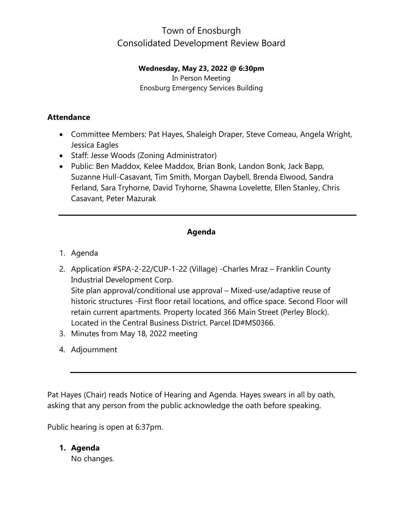#### **Wednesday, May 23, 2022 @ 6:30pm**

In Person Meeting Enosburg Emergency Services Building

#### **Attendance**

- Committee Members: Pat Hayes, Shaleigh Draper, Steve Comeau, Angela Wright, Jessica Eagles
- Staff: Jesse Woods (Zoning Administrator)
- Public: Ben Maddox, Kelee Maddox, Brian Bonk, Landon Bonk, Jack Bapp, Suzanne Hull-Casavant, Tim Smith, Morgan Daybell, Brenda Elwood, Sandra Ferland, Sara Tryhorne, David Tryhorne, Shawna Lovelette, Ellen Stanley, Chris Casavant, Peter Mazurak

#### **Agenda**

- 1. Agenda
- 2. Application #SPA-2-22/CUP-1-22 (Village) -Charles Mraz Franklin County Industrial Development Corp. Site plan approval/conditional use approval – Mixed-use/adaptive reuse of historic structures -First floor retail locations, and office space. Second Floor will retain current apartments. Property located 366 Main Street (Perley Block). Located in the Central Business District. Parcel ID#MS0366.
- 3. Minutes from May 18, 2022 meeting
- 4. Adjournment

Pat Hayes (Chair) reads Notice of Hearing and Agenda. Hayes swears in all by oath, asking that any person from the public acknowledge the oath before speaking.

Public hearing is open at 6:37pm.

### **1. Agenda**

No changes.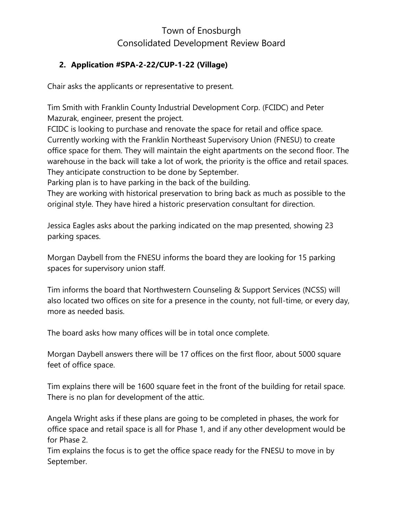#### **2. Application #SPA-2-22/CUP-1-22 (Village)**

Chair asks the applicants or representative to present.

Tim Smith with Franklin County Industrial Development Corp. (FCIDC) and Peter Mazurak, engineer, present the project.

FCIDC is looking to purchase and renovate the space for retail and office space. Currently working with the Franklin Northeast Supervisory Union (FNESU) to create office space for them. They will maintain the eight apartments on the second floor. The warehouse in the back will take a lot of work, the priority is the office and retail spaces. They anticipate construction to be done by September.

Parking plan is to have parking in the back of the building.

They are working with historical preservation to bring back as much as possible to the original style. They have hired a historic preservation consultant for direction.

Jessica Eagles asks about the parking indicated on the map presented, showing 23 parking spaces.

Morgan Daybell from the FNESU informs the board they are looking for 15 parking spaces for supervisory union staff.

Tim informs the board that Northwestern Counseling & Support Services (NCSS) will also located two offices on site for a presence in the county, not full-time, or every day, more as needed basis.

The board asks how many offices will be in total once complete.

Morgan Daybell answers there will be 17 offices on the first floor, about 5000 square feet of office space.

Tim explains there will be 1600 square feet in the front of the building for retail space. There is no plan for development of the attic.

Angela Wright asks if these plans are going to be completed in phases, the work for office space and retail space is all for Phase 1, and if any other development would be for Phase 2.

Tim explains the focus is to get the office space ready for the FNESU to move in by September.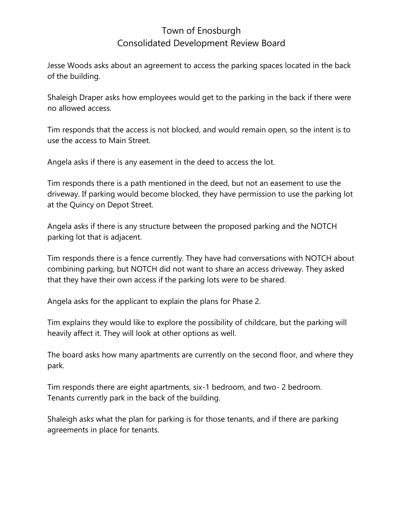Jesse Woods asks about an agreement to access the parking spaces located in the back of the building.

Shaleigh Draper asks how employees would get to the parking in the back if there were no allowed access.

Tim responds that the access is not blocked, and would remain open, so the intent is to use the access to Main Street.

Angela asks if there is any easement in the deed to access the lot.

Tim responds there is a path mentioned in the deed, but not an easement to use the driveway. If parking would become blocked, they have permission to use the parking lot at the Quincy on Depot Street.

Angela asks if there is any structure between the proposed parking and the NOTCH parking lot that is adjacent.

Tim responds there is a fence currently. They have had conversations with NOTCH about combining parking, but NOTCH did not want to share an access driveway. They asked that they have their own access if the parking lots were to be shared.

Angela asks for the applicant to explain the plans for Phase 2.

Tim explains they would like to explore the possibility of childcare, but the parking will heavily affect it. They will look at other options as well.

The board asks how many apartments are currently on the second floor, and where they park.

Tim responds there are eight apartments, six-1 bedroom, and two- 2 bedroom. Tenants currently park in the back of the building.

Shaleigh asks what the plan for parking is for those tenants, and if there are parking agreements in place for tenants.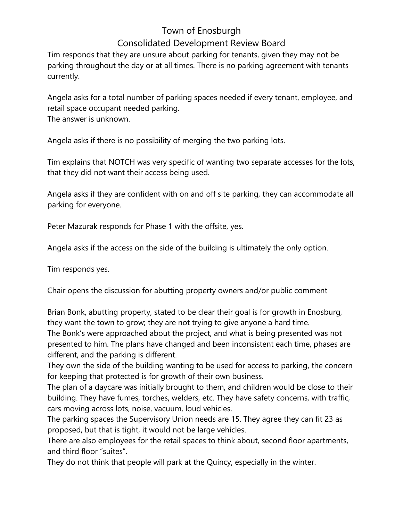Tim responds that they are unsure about parking for tenants, given they may not be parking throughout the day or at all times. There is no parking agreement with tenants currently.

Angela asks for a total number of parking spaces needed if every tenant, employee, and retail space occupant needed parking. The answer is unknown.

Angela asks if there is no possibility of merging the two parking lots.

Tim explains that NOTCH was very specific of wanting two separate accesses for the lots, that they did not want their access being used.

Angela asks if they are confident with on and off site parking, they can accommodate all parking for everyone.

Peter Mazurak responds for Phase 1 with the offsite, yes.

Angela asks if the access on the side of the building is ultimately the only option.

Tim responds yes.

Chair opens the discussion for abutting property owners and/or public comment

Brian Bonk, abutting property, stated to be clear their goal is for growth in Enosburg, they want the town to grow; they are not trying to give anyone a hard time.

The Bonk's were approached about the project, and what is being presented was not presented to him. The plans have changed and been inconsistent each time, phases are different, and the parking is different.

They own the side of the building wanting to be used for access to parking, the concern for keeping that protected is for growth of their own business.

The plan of a daycare was initially brought to them, and children would be close to their building. They have fumes, torches, welders, etc. They have safety concerns, with traffic, cars moving across lots, noise, vacuum, loud vehicles.

The parking spaces the Supervisory Union needs are 15. They agree they can fit 23 as proposed, but that is tight, it would not be large vehicles.

There are also employees for the retail spaces to think about, second floor apartments, and third floor "suites".

They do not think that people will park at the Quincy, especially in the winter.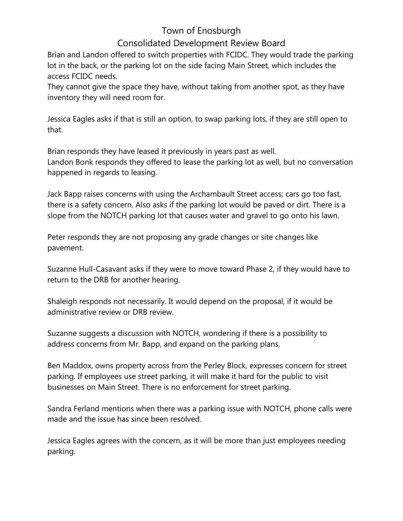### Town of Enosburgh

### Consolidated Development Review Board

Brian and Landon offered to switch properties with FCIDC. They would trade the parking lot in the back, or the parking lot on the side facing Main Street, which includes the access FCIDC needs.

They cannot give the space they have, without taking from another spot, as they have inventory they will need room for.

Jessica Eagles asks if that is still an option, to swap parking lots, if they are still open to that.

Brian responds they have leased it previously in years past as well. Landon Bonk responds they offered to lease the parking lot as well, but no conversation happened in regards to leasing.

Jack Bapp raises concerns with using the Archambault Street access; cars go too fast, there is a safety concern. Also asks if the parking lot would be paved or dirt. There is a slope from the NOTCH parking lot that causes water and gravel to go onto his lawn.

Peter responds they are not proposing any grade changes or site changes like pavement.

Suzanne Hull-Casavant asks if they were to move toward Phase 2, if they would have to return to the DRB for another hearing.

Shaleigh responds not necessarily. It would depend on the proposal, if it would be administrative review or DRB review.

Suzanne suggests a discussion with NOTCH, wondering if there is a possibility to address concerns from Mr. Bapp, and expand on the parking plans.

Ben Maddox, owns property across from the Perley Block, expresses concern for street parking. If employees use street parking, it will make it hard for the public to visit businesses on Main Street. There is no enforcement for street parking.

Sandra Ferland mentions when there was a parking issue with NOTCH, phone calls were made and the issue has since been resolved.

Jessica Eagles agrees with the concern, as it will be more than just employees needing parking.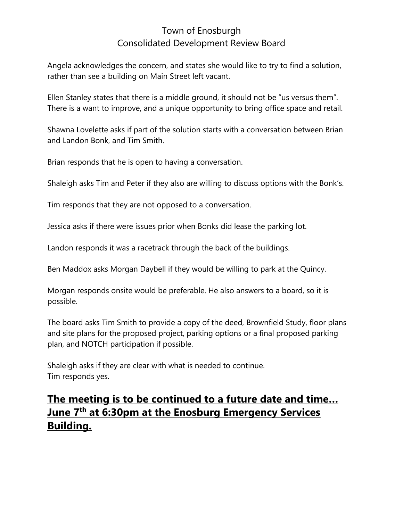Angela acknowledges the concern, and states she would like to try to find a solution, rather than see a building on Main Street left vacant.

Ellen Stanley states that there is a middle ground, it should not be "us versus them". There is a want to improve, and a unique opportunity to bring office space and retail.

Shawna Lovelette asks if part of the solution starts with a conversation between Brian and Landon Bonk, and Tim Smith.

Brian responds that he is open to having a conversation.

Shaleigh asks Tim and Peter if they also are willing to discuss options with the Bonk's.

Tim responds that they are not opposed to a conversation.

Jessica asks if there were issues prior when Bonks did lease the parking lot.

Landon responds it was a racetrack through the back of the buildings.

Ben Maddox asks Morgan Daybell if they would be willing to park at the Quincy.

Morgan responds onsite would be preferable. He also answers to a board, so it is possible.

The board asks Tim Smith to provide a copy of the deed, Brownfield Study, floor plans and site plans for the proposed project, parking options or a final proposed parking plan, and NOTCH participation if possible.

Shaleigh asks if they are clear with what is needed to continue. Tim responds yes.

# **The meeting is to be continued to a future date and time… June 7th at 6:30pm at the Enosburg Emergency Services Building.**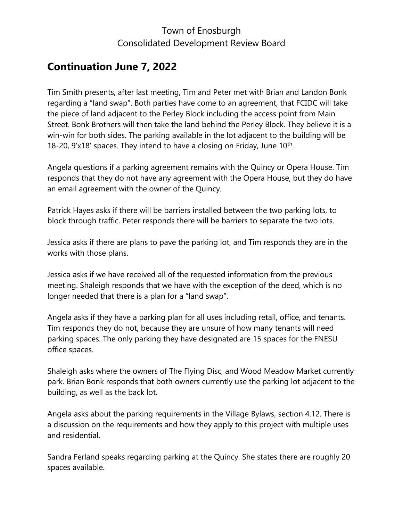# **Continuation June 7, 2022**

Tim Smith presents, after last meeting, Tim and Peter met with Brian and Landon Bonk regarding a "land swap". Both parties have come to an agreement, that FCIDC will take the piece of land adjacent to the Perley Block including the access point from Main Street. Bonk Brothers will then take the land behind the Perley Block. They believe it is a win-win for both sides. The parking available in the lot adjacent to the building will be 18-20,  $9'x18'$  spaces. They intend to have a closing on Friday, June  $10^{th}$ .

Angela questions if a parking agreement remains with the Quincy or Opera House. Tim responds that they do not have any agreement with the Opera House, but they do have an email agreement with the owner of the Quincy.

Patrick Hayes asks if there will be barriers installed between the two parking lots, to block through traffic. Peter responds there will be barriers to separate the two lots.

Jessica asks if there are plans to pave the parking lot, and Tim responds they are in the works with those plans.

Jessica asks if we have received all of the requested information from the previous meeting. Shaleigh responds that we have with the exception of the deed, which is no longer needed that there is a plan for a "land swap".

Angela asks if they have a parking plan for all uses including retail, office, and tenants. Tim responds they do not, because they are unsure of how many tenants will need parking spaces. The only parking they have designated are 15 spaces for the FNESU office spaces.

Shaleigh asks where the owners of The Flying Disc, and Wood Meadow Market currently park. Brian Bonk responds that both owners currently use the parking lot adjacent to the building, as well as the back lot.

Angela asks about the parking requirements in the Village Bylaws, section 4.12. There is a discussion on the requirements and how they apply to this project with multiple uses and residential.

Sandra Ferland speaks regarding parking at the Quincy. She states there are roughly 20 spaces available.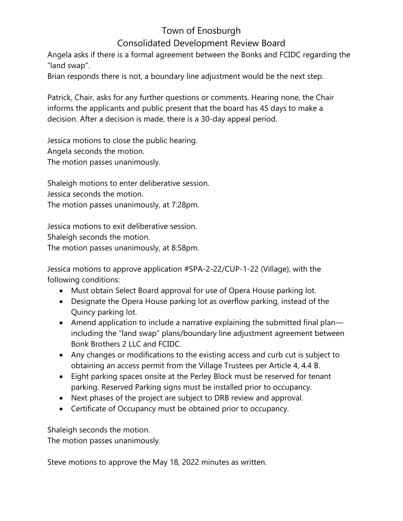Angela asks if there is a formal agreement between the Bonks and FCIDC regarding the "land swap".

Brian responds there is not, a boundary line adjustment would be the next step.

Patrick, Chair, asks for any further questions or comments. Hearing none, the Chair informs the applicants and public present that the board has 45 days to make a decision. After a decision is made, there is a 30-day appeal period.

Jessica motions to close the public hearing. Angela seconds the motion. The motion passes unanimously.

Shaleigh motions to enter deliberative session.

Jessica seconds the motion.

The motion passes unanimously, at 7:28pm.

Jessica motions to exit deliberative session.

Shaleigh seconds the motion.

The motion passes unanimously, at 8:58pm.

Jessica motions to approve application #SPA-2-22/CUP-1-22 (Village), with the following conditions:

- Must obtain Select Board approval for use of Opera House parking lot.
- Designate the Opera House parking lot as overflow parking, instead of the Quincy parking lot.
- Amend application to include a narrative explaining the submitted final plan including the "land swap" plans/boundary line adjustment agreement between Bonk Brothers 2 LLC and FCIDC.
- Any changes or modifications to the existing access and curb cut is subject to obtaining an access permit from the Village Trustees per Article 4, 4.4 B.
- Eight parking spaces onsite at the Perley Block must be reserved for tenant parking. Reserved Parking signs must be installed prior to occupancy.
- Next phases of the project are subject to DRB review and approval.
- Certificate of Occupancy must be obtained prior to occupancy.

Shaleigh seconds the motion.

The motion passes unanimously.

Steve motions to approve the May 18, 2022 minutes as written.